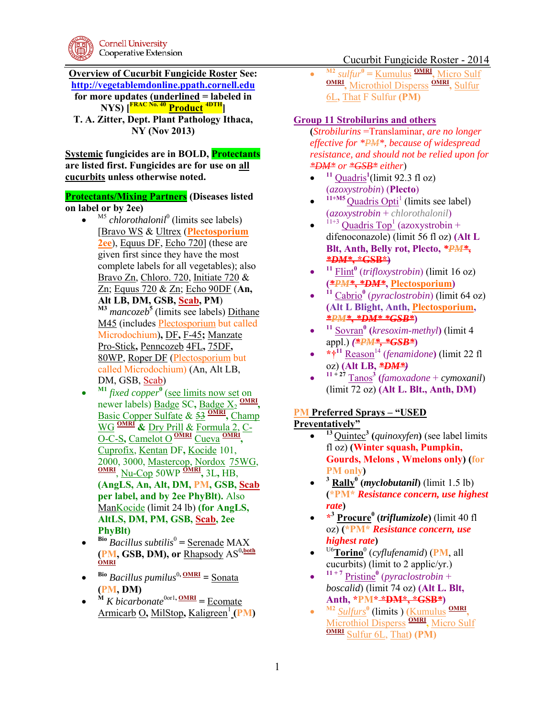

## Cucurbit Fungicide Roster - 2014

**Overview of Cucurbit Fungicide Roster See: [http://vegetablemdonline.ppath.cornell.edu](http://vegetablemdonline.ppath.cornell.edu/) for more updates (underlined = labeled in NYS) [FRAC No. 40 Product 4DTH] T. A. Zitter, Dept. Plant Pathology Ithaca, NY (Nov 2013)** 

**Systemic fungicides are in BOLD, Protectants are listed first. Fungicides are for use on all cucurbits unless otherwise noted.**

#### **Protectants/Mixing Partners (Diseases listed on label or by 2ee)**

- $\bullet$  <sup>M5</sup> *chlorothalonil*<sup>0</sup> (limits see labels) [Bravo WS & Ultrex (**Plectosporium 2ee**), Equus DF, Echo 720] (these are given first since they have the most complete labels for all vegetables); also Bravo Zn, Chloro. 720, Initiate 720 & Zn; Equus 720 & Zn; Echo 90DF (**An, Alt LB, DM, GSB, Scab, PM**) **M3** *mancozeb***<sup>5</sup>** (limits see labels) Dithane M45 (includes Plectosporium but called Microdochium)**,** DF**,** F-45**;** Manzate Pro-Stick**,** Penncozeb 4FL**,** 75DF**,**  80WP, Roper DF (Plectosporium but called Microdochium) (An, Alt LB, DM, GSB, Scab)
- $\bullet$ **M1** *fixed copper***<sup>0</sup>** (see limits now set on newer labels) **Badge SC**, **Badge**  $X_2$  **OMRI**, Basic Copper Sulfate & 53 **OMRI ,** Champ WG **OMRI &** Dry Prill & Formula 2, C-O-C-S**,** Camelot O **OMRI** Cueva **OMRI ,**  Cuprofix, Kentan DF**,** Kocide 101, 2000, 3000, Mastercop, Nordox 75WG, **OMRI** , Nu-Cop 50WP **OMRI ,** 3L**,** HB, **(AngLS, An, Alt, DM, PM, GSB, Scab per label, and by 2ee PhyBlt).** Also ManKocide (limit 24 lb) **(for AngLS, AltLS, DM, PM, GSB, Scab, 2ee PhyBlt)**
- $\bullet$ <sup>Bio</sup> *Bacillus subtilis*<sup>0</sup> = <u>Serenade</u> MAX  $(\mathbf{PM}, \mathbf{GSB}, \mathbf{DM}),$  or  $\underline{\mathbf{R}}$  hapsody  $\mathbf{AS}^{0,\mathbf{both}}$
- $\bullet$ <sup>Bio</sup> *Bacillus pumilus<sup>0, <u>OMRI</u> = <u>Sonata</u>*</sup> **(PM, DM)**
- $\bullet$  $M$  *K bicarbonate*<sup>0or1</sup>, <u>OMRI</u> = <u>Ecomate</u> **Armicarb O, MilStop, Kaligreen<sup>1</sup> (PM)**

 $\bullet$ **M2** *sulfur***<sup>0</sup> =** Kumulus **OMRI ,** Micro Sulf **OMRI ,** Microthiol Disperss **OMRI ,** Sulfur 6L**,** That F Sulfur **(PM)** 

#### **Group 11 Strobilurins and others**

**(***Strobilurins* =Translaminar, *are no longer effective for \*PM\*, because of widespread resistance, and should not be relied upon for \*DM\* or \*GSB\* either*)

- $\bullet$  $11 \text{ Quadris}^1$ (limit 92.3 fl oz) (*azoxystrobin*) (**Plecto**)
- $\bullet$  $11+M5$  Quadris Opti<sup>1</sup> (limits see label) (*azoxystrobin* + *chlorothalonil*)
- $\bullet$  $11+3$  Quadris Top<sup>1</sup> (azoxystrobin + difenoconazole) (limit 56 fl oz) **(Alt L Blt, Anth, Belly rot, Plecto,** *\*PM\****,**  *\*DM\****, \*GSB\*)**
- $\bullet$ **<sup>11</sup>** Flint**<sup>0</sup>** (*trifloxystrobin*) (limit 16 oz) **(***\*PM\****,** *\*DM\****, Plectosporium)**
- $\bullet$ <sup>11</sup> Cabrio<sup>0</sup> (*pyraclostrobin*) (limit 64 oz) **(Alt L Blight, Anth, Plectosporium,** *\*PM\****,** *\*DM\* \*GSB\****)**
- $\bullet$ **<sup>11</sup>** Sovran**<sup>0</sup> (***kresoxim-methyl***)** (limit 4 appl.) *(\*PM\*, \*GSB\****)**
- $*\uparrow^{11}$  Reason<sup>14</sup> (*fenamidone*) (limit 22 fl oz) **(Alt LB,** *\*DM\*)*
- $\bullet$ **11 + 27** Tanos**<sup>3</sup> (***famoxadone* + *cymoxanil*) (limit 72 oz) **(Alt L. Blt., Anth, DM)**

### **PM Preferred Sprays – "USED**

**Preventatively"** 

- $\bullet$ **<sup>13</sup>**Quintec**<sup>3</sup> (***quinoxyfen***)** (see label limits fl oz) **(Winter squash, Pumpkin, Gourds, Melons , Wmelons only) (for PM only)**
- $\bullet$ **<sup>3</sup> Rally<sup>0</sup> (***myclobutanil***)** (limit 1.5 lb) **(\*PM\*** *Resistance concern, use highest rate***)**
- **\* <sup>3</sup> Procure<sup>0</sup> (***triflumizole***)** (limit 40 fl oz) **(\*PM\*** *Resistance concern, use highest rate***)**
- $\bullet$ <sup>U6</sup>Torino<sup>0</sup> (cyflufenamid) (PM, all cucurbits) (limit to 2 applic/yr.)
- $\bullet$ **11 + 7** Pristine**<sup>0</sup>** (*pyraclostrobin* + *boscalid*) (limit 74 oz) **(Alt L. Blt, Anth, \*PM\* \*DM\*, \*GSB***\****)**
- $\bullet$ **M2** *Sulfurs***<sup>0</sup>** (limits ) **(**Kumulus **OMRI ,**  Microthiol Disperss **OMRI ,** Micro Sulf **OMRI** Sulfur 6L, That**) (PM)**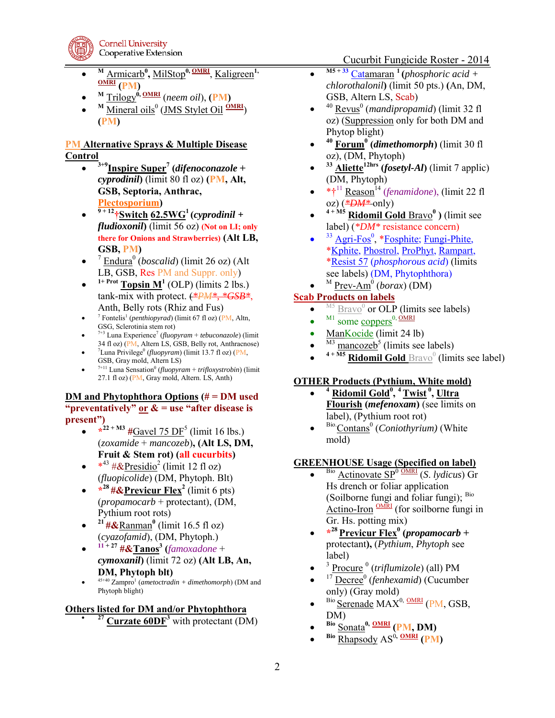

- $\bullet$ <sup>M</sup> Armicarb<sup>0</sup>, MilStop<sup>0, OMRI</sup>, Kaligreen<sup>1,</sup> **OMRI (PM)**
- $\bullet$ **<sup>M</sup>** Trilogy**0, OMRI** (*neem oil*), **(PM)**
- $\bullet$ <sup>M</sup> Mineral oils<sup>0</sup> (JMS Stylet Oil **OMRI**) **(PM)**

## **PM Alternative Sprays & Multiple Disease Control**

- $\bullet$ **3+9Inspire Super<sup>7</sup> (***difenoconazole* **+**  *cyprodinil***)** (limit 80 fl oz) **(PM, Alt, GSB, Septoria, Anthrac, Plectosporium)**
- $\bullet$  $\frac{9+12}{7}$ Switch 62.5WG<sup>1</sup> (*cyprodinil* + *fludioxonil***)** (limit 56 oz) **(Not on LI; only there for Onions and Strawberries) (Alt LB, GSB, PM)**
- $\bullet$ <sup>7</sup> Endura<sup>0</sup> (*boscalid*) (limit 26 oz) (Alt LB, GSB, Res PM and Suppr. only)
- $\bullet$  $1+$  Prot **Topsin M<sup>1</sup>** (OLP) (limits 2 lbs.) tank-mix with protect. (*\*PM\*, \*GSB\**, Anth, Belly rots (Rhiz and Fus)
- $\bullet$ <sup>7</sup> Fontelis<sup>1</sup> (*penthiopyrad*) (limit 67 fl oz) (PM, Altn, GSG, Sclerotinia stem rot)
- $\bullet$ 7+3 Luna Experience<sup>7</sup> (*fluopyram* + *tebuconazole*) (limit 34 fl oz) (PM, Altern LS, GSB, Belly rot, Anthracnose)
- $\bullet$ <sup>7</sup>Luna Privilege<sup>0</sup> (*fluopyram*) (limit 13.7 fl oz) (PM, GSB, Gray mold, Altern LS)
- $\bullet$  $7+11$  Luna Sensation<sup>0</sup> (*fluopyram* + *trifloxystrobin*) (limit 27.1 fl oz) (PM, Gray mold, Altern. LS, Anth)

#### **DM and Phytophthora Options (# = DM used "preventatively" or & = use "after disease is present")**

- $*^{22 + M3}$  #Gavel 75 DF<sup>5</sup> (limit 16 lbs.) (*zoxamide* + *mancozeb*)**, (Alt LS, DM, Fruit & Stem rot) (all cucurbits)**
- $*^{43}$  # & <u>Presidio</u><sup>2</sup> (limit 12 fl oz) (*fluopicolide*) (DM, Phytoph. Blt)
- **\* <sup>28</sup>#&Previcur Flex<sup>2</sup>** (limit 6 pts) (*propamocarb* + protectant), (DM, Pythium root rots)
- $\bullet$ **<sup>21</sup> #&**Ranman**<sup>0</sup>** (limit 16.5 fl oz) (*cyazofamid*), (DM, Phytoph.)
- $\bullet$ **11 + 27 #&Tanos<sup>3</sup> (***famoxadone* + *cymoxanil***)** (limit 72 oz) **(Alt LB, An, DM, Phytoph blt)**
- $\bullet$  $45+40$  Zampro<sup>1</sup> (*ametoctradin* + *dimethomorph*) (DM and Phytoph blight)

### **Others listed for DM and/or Phytophthora**

**<sup>27</sup> Curzate 60DF<sup>3</sup>** with protectant (DM)

Cucurbit Fungicide Roster - 2014

- $\bullet$ **M5 + 33** Catamaran **<sup>1</sup>(***phosphoric acid + chlorothalonil***)** (limit 50 pts.) **(**An, DM, GSB, Altern LS, Scab)
- $\bullet$ <sup>40</sup> <u>Revus</u><sup>0</sup> (*mandipropamid*) (limit 32 fl oz) (Suppression only for both DM and Phytop blight)
- $\bullet$ **<sup>40</sup> Forum<sup>0</sup> (***dimethomorph***)** (limit 30 fl oz), (DM, Phytoph)
- $\bullet$ **<sup>33</sup> Aliette12hrs (***fosetyl-Al***)** (limit 7 applic) (DM, Phytoph)
- \*<sup>†11</sup> Reason<sup>14</sup> (*fenamidone*), (limit 22 fl oz) (*\*DM\** only)
- $\bullet$ **4 + M5 Ridomil Gold** Bravo**<sup>0</sup> )** (limit see label) (*\*DM\** resistance concern)
- $\bullet$ <sup>33</sup> Agri-Fos<sup>0</sup>, \*Fosphite; Fungi-Phite, \*Kphite, Phostrol, ProPhyt, Rampart, \*Resist 57 (*phosphorous acid*) (limits see labels) (DM, Phytophthora)
- $\bullet$ <sup>M</sup> Prev-Am<sup>0</sup> (*borax*) (DM)

## **Scab Products on labels**

- $\bullet$  $^{M5}$   $\overline{Baro}$ <sup>0</sup> or OLP (limits see labels)
- $\bullet$  $^{M1}$  some coppers<sup>0, OMRI</sup>
- ManKocide (limit 24 lb)
- $\bullet$ <sup>M3</sup> mancozeb<sup>5</sup> (limits see labels)
- $\bullet$ <sup>4+M5</sup> Ridomil Gold **Bravo**<sup>0</sup> (limits see label)

# **OTHER Products (Pythium, White mold)**

- $\bullet$ **<sup>4</sup> Ridomil Gold<sup>0</sup> , <sup>4</sup>Twist<sup>0</sup>, Ultra Flourish (***mefenoxam***)** (see limits on label), (Pythium root rot)
- $\bullet$ <sup>Bio.</sup>Contans<sup>0</sup> (*Coniothyrium*) (White mold)

# **GREENHOUSE Usage (Specified on label)**

- $\bullet$ Bio Actinovate SP<sup>0</sup> OMRI (*S*. *lydicus*) Gr Hs drench or foliar application (Soilborne fungi and foliar fungi); Bio Actino-Iron <sup>OMRI</sup> (for soilborne fungi in Gr. Hs. potting mix)
- **\* <sup>28</sup>Previcur Flex<sup>0</sup> (***propamocarb* **+**  protectant**),** (*Pythium*, *Phytoph* see label)
- $\bullet$ <sup>3</sup> Procure<sup>0</sup> (triflumizole) (all) PM
- $\bullet$ <sup>17</sup> Decree<sup>0</sup> (*fenhexamid*) (Cucumber only) (Gray mold)
- $\bullet$  $Bio$  Serenade MAX<sup>0, OMRI</sup> (PM, GSB, DM)
- $\bullet$ **Bio** Sonata**0, OMRI (PM, DM)**
- $\bullet$ **Bio** Rhapsody  $AS^0$ , **OMRI** (PM)